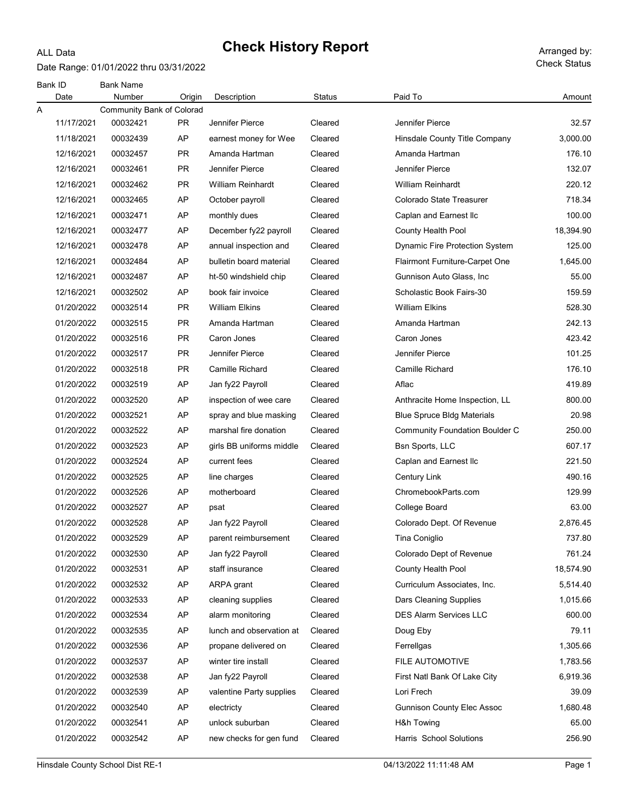### ALL Data

# Check History Report Arranged by:

Date Range: 01/01/2022 thru 03/31/2022

| Bank ID<br>Date | <b>Bank Name</b><br>Number       | Origin    | Description              | Status  | Paid To                               | Amount    |
|-----------------|----------------------------------|-----------|--------------------------|---------|---------------------------------------|-----------|
| Α               | <b>Community Bank of Colorad</b> |           |                          |         |                                       |           |
| 11/17/2021      | 00032421                         | <b>PR</b> | Jennifer Pierce          | Cleared | Jennifer Pierce                       | 32.57     |
| 11/18/2021      | 00032439                         | AP        | earnest money for Wee    | Cleared | Hinsdale County Title Company         | 3,000.00  |
| 12/16/2021      | 00032457                         | <b>PR</b> | Amanda Hartman           | Cleared | Amanda Hartman                        | 176.10    |
| 12/16/2021      | 00032461                         | <b>PR</b> | Jennifer Pierce          | Cleared | Jennifer Pierce                       | 132.07    |
| 12/16/2021      | 00032462                         | <b>PR</b> | <b>William Reinhardt</b> | Cleared | <b>William Reinhardt</b>              | 220.12    |
| 12/16/2021      | 00032465                         | AP        | October payroll          | Cleared | Colorado State Treasurer              | 718.34    |
| 12/16/2021      | 00032471                         | AP        | monthly dues             | Cleared | Caplan and Earnest Ilc                | 100.00    |
| 12/16/2021      | 00032477                         | AP        | December fy22 payroll    | Cleared | County Health Pool                    | 18,394.90 |
| 12/16/2021      | 00032478                         | AP        | annual inspection and    | Cleared | Dynamic Fire Protection System        | 125.00    |
| 12/16/2021      | 00032484                         | AP        | bulletin board material  | Cleared | Flairmont Furniture-Carpet One        | 1,645.00  |
| 12/16/2021      | 00032487                         | AP        | ht-50 windshield chip    | Cleared | Gunnison Auto Glass, Inc.             | 55.00     |
| 12/16/2021      | 00032502                         | AP        | book fair invoice        | Cleared | Scholastic Book Fairs-30              | 159.59    |
| 01/20/2022      | 00032514                         | <b>PR</b> | <b>William Elkins</b>    | Cleared | <b>William Elkins</b>                 | 528.30    |
| 01/20/2022      | 00032515                         | <b>PR</b> | Amanda Hartman           | Cleared | Amanda Hartman                        | 242.13    |
| 01/20/2022      | 00032516                         | PR.       | Caron Jones              | Cleared | Caron Jones                           | 423.42    |
| 01/20/2022      | 00032517                         | <b>PR</b> | Jennifer Pierce          | Cleared | Jennifer Pierce                       | 101.25    |
| 01/20/2022      | 00032518                         | <b>PR</b> | Camille Richard          | Cleared | Camille Richard                       | 176.10    |
| 01/20/2022      | 00032519                         | AP        | Jan fy22 Payroll         | Cleared | Aflac                                 | 419.89    |
| 01/20/2022      | 00032520                         | AP        | inspection of wee care   | Cleared | Anthracite Home Inspection, LL        | 800.00    |
| 01/20/2022      | 00032521                         | AP        | spray and blue masking   | Cleared | <b>Blue Spruce Bldg Materials</b>     | 20.98     |
| 01/20/2022      | 00032522                         | AP        | marshal fire donation    | Cleared | <b>Community Foundation Boulder C</b> | 250.00    |
| 01/20/2022      | 00032523                         | AP        | girls BB uniforms middle | Cleared | Bsn Sports, LLC                       | 607.17    |
| 01/20/2022      | 00032524                         | AP        | current fees             | Cleared | Caplan and Earnest Ilc                | 221.50    |
| 01/20/2022      | 00032525                         | AP        | line charges             | Cleared | Century Link                          | 490.16    |
| 01/20/2022      | 00032526                         | AP        | motherboard              | Cleared | ChromebookParts.com                   | 129.99    |
| 01/20/2022      | 00032527                         | AP        | psat                     | Cleared | College Board                         | 63.00     |
| 01/20/2022      | 00032528                         | AP        | Jan fy22 Payroll         | Cleared | Colorado Dept. Of Revenue             | 2,876.45  |
| 01/20/2022      | 00032529                         | AP        | parent reimbursement     | Cleared | Tina Coniglio                         | 737.80    |
| 01/20/2022      | 00032530                         | AP        | Jan fy22 Payroll         | Cleared | Colorado Dept of Revenue              | 761.24    |
| 01/20/2022      | 00032531                         | AP        | staff insurance          | Cleared | County Health Pool                    | 18,574.90 |
| 01/20/2022      | 00032532                         | AP        | ARPA grant               | Cleared | Curriculum Associates, Inc.           | 5,514.40  |
| 01/20/2022      | 00032533                         | AP        | cleaning supplies        | Cleared | Dars Cleaning Supplies                | 1,015.66  |
| 01/20/2022      | 00032534                         | AP        | alarm monitoring         | Cleared | <b>DES Alarm Services LLC</b>         | 600.00    |
| 01/20/2022      | 00032535                         | AP        | lunch and observation at | Cleared | Doug Eby                              | 79.11     |
| 01/20/2022      | 00032536                         | AP        | propane delivered on     | Cleared | Ferrellgas                            | 1,305.66  |
| 01/20/2022      | 00032537                         | AP        | winter tire install      | Cleared | FILE AUTOMOTIVE                       | 1,783.56  |
| 01/20/2022      | 00032538                         | AP        | Jan fy22 Payroll         | Cleared | First Natl Bank Of Lake City          | 6,919.36  |
| 01/20/2022      | 00032539                         | AP        | valentine Party supplies | Cleared | Lori Frech                            | 39.09     |
| 01/20/2022      | 00032540                         | AP        | electricty               | Cleared | <b>Gunnison County Elec Assoc</b>     | 1,680.48  |
| 01/20/2022      | 00032541                         | AP        | unlock suburban          | Cleared | H&h Towing                            | 65.00     |
| 01/20/2022      | 00032542                         | AP        | new checks for gen fund  | Cleared | Harris School Solutions               | 256.90    |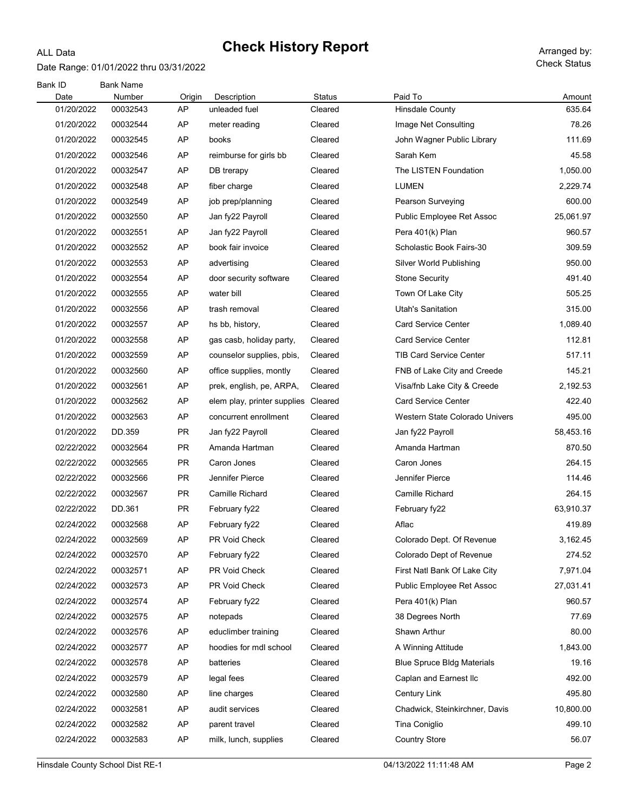### Date Range: 01/01/2022 thru 03/31/2022

ALL Data

| <b>Bank ID</b><br>Date | <b>Bank Name</b><br>Number | Origin    | Description                 | <b>Status</b> | Paid To                           | Amount    |
|------------------------|----------------------------|-----------|-----------------------------|---------------|-----------------------------------|-----------|
| 01/20/2022             | 00032543                   | AP        | unleaded fuel               | Cleared       | <b>Hinsdale County</b>            | 635.64    |
| 01/20/2022             | 00032544                   | AP        | meter reading               | Cleared       | Image Net Consulting              | 78.26     |
| 01/20/2022             | 00032545                   | AP        | books                       | Cleared       | John Wagner Public Library        | 111.69    |
| 01/20/2022             | 00032546                   | AP        | reimburse for girls bb      | Cleared       | Sarah Kem                         | 45.58     |
| 01/20/2022             | 00032547                   | AP        | DB trerapy                  | Cleared       | The LISTEN Foundation             | 1,050.00  |
| 01/20/2022             | 00032548                   | AP        | fiber charge                | Cleared       | LUMEN                             | 2,229.74  |
| 01/20/2022             | 00032549                   | AP        | job prep/planning           | Cleared       | Pearson Surveying                 | 600.00    |
| 01/20/2022             | 00032550                   | AP        | Jan fy22 Payroll            | Cleared       | Public Employee Ret Assoc         | 25,061.97 |
| 01/20/2022             | 00032551                   | AP        | Jan fy22 Payroll            | Cleared       | Pera 401(k) Plan                  | 960.57    |
| 01/20/2022             | 00032552                   | AP        | book fair invoice           | Cleared       | Scholastic Book Fairs-30          | 309.59    |
| 01/20/2022             | 00032553                   | AP        | advertising                 | Cleared       | Silver World Publishing           | 950.00    |
| 01/20/2022             | 00032554                   | AP        | door security software      | Cleared       | <b>Stone Security</b>             | 491.40    |
| 01/20/2022             | 00032555                   | AP        | water bill                  | Cleared       | Town Of Lake City                 | 505.25    |
| 01/20/2022             | 00032556                   | AP        | trash removal               | Cleared       | <b>Utah's Sanitation</b>          | 315.00    |
| 01/20/2022             | 00032557                   | AP        | hs bb, history,             | Cleared       | <b>Card Service Center</b>        | 1,089.40  |
| 01/20/2022             | 00032558                   | AP        | gas casb, holiday party,    | Cleared       | <b>Card Service Center</b>        | 112.81    |
| 01/20/2022             | 00032559                   | AP        | counselor supplies, pbis,   | Cleared       | <b>TIB Card Service Center</b>    | 517.11    |
| 01/20/2022             | 00032560                   | AP        | office supplies, montly     | Cleared       | FNB of Lake City and Creede       | 145.21    |
| 01/20/2022             | 00032561                   | AP        | prek, english, pe, ARPA,    | Cleared       | Visa/fnb Lake City & Creede       | 2,192.53  |
| 01/20/2022             | 00032562                   | AP        | elem play, printer supplies | Cleared       | <b>Card Service Center</b>        | 422.40    |
| 01/20/2022             | 00032563                   | AP        | concurrent enrollment       | Cleared       | Western State Colorado Univers    | 495.00    |
| 01/20/2022             | DD.359                     | <b>PR</b> | Jan fy22 Payroll            | Cleared       | Jan fy22 Payroll                  | 58,453.16 |
| 02/22/2022             | 00032564                   | <b>PR</b> | Amanda Hartman              | Cleared       | Amanda Hartman                    | 870.50    |
| 02/22/2022             | 00032565                   | <b>PR</b> | Caron Jones                 | Cleared       | Caron Jones                       | 264.15    |
| 02/22/2022             | 00032566                   | PR.       | Jennifer Pierce             | Cleared       | Jennifer Pierce                   | 114.46    |
| 02/22/2022             | 00032567                   | PR.       | <b>Camille Richard</b>      | Cleared       | Camille Richard                   | 264.15    |
| 02/22/2022             | DD.361                     | <b>PR</b> | February fy22               | Cleared       | February fy22                     | 63,910.37 |
| 02/24/2022             | 00032568                   | AP        | February fy22               | Cleared       | Aflac                             | 419.89    |
| 02/24/2022             | 00032569                   | AP        | PR Void Check               | Cleared       | Colorado Dept. Of Revenue         | 3,162.45  |
| 02/24/2022             | 00032570                   | AP        | February fy22               | Cleared       | Colorado Dept of Revenue          | 274.52    |
| 02/24/2022             | 00032571                   | AP        | PR Void Check               | Cleared       | First Natl Bank Of Lake City      | 7,971.04  |
| 02/24/2022             | 00032573                   | AP        | PR Void Check               | Cleared       | Public Employee Ret Assoc         | 27,031.41 |
| 02/24/2022             | 00032574                   | AP        | February fy22               | Cleared       | Pera 401(k) Plan                  | 960.57    |
| 02/24/2022             | 00032575                   | AP        | notepads                    | Cleared       | 38 Degrees North                  | 77.69     |
| 02/24/2022             | 00032576                   | AP        | educlimber training         | Cleared       | Shawn Arthur                      | 80.00     |
| 02/24/2022             | 00032577                   | AP        | hoodies for mdl school      | Cleared       | A Winning Attitude                | 1,843.00  |
| 02/24/2022             | 00032578                   | AP        | batteries                   | Cleared       | <b>Blue Spruce Bldg Materials</b> | 19.16     |
| 02/24/2022             | 00032579                   | AP        | legal fees                  | Cleared       | Caplan and Earnest Ilc            | 492.00    |
| 02/24/2022             | 00032580                   | AP        | line charges                | Cleared       | <b>Century Link</b>               | 495.80    |
| 02/24/2022             | 00032581                   | AP        | audit services              | Cleared       | Chadwick, Steinkirchner, Davis    | 10,800.00 |
| 02/24/2022             | 00032582                   | AP        | parent travel               | Cleared       | Tina Coniglio                     | 499.10    |
| 02/24/2022             | 00032583                   | AP        | milk, lunch, supplies       | Cleared       | <b>Country Store</b>              | 56.07     |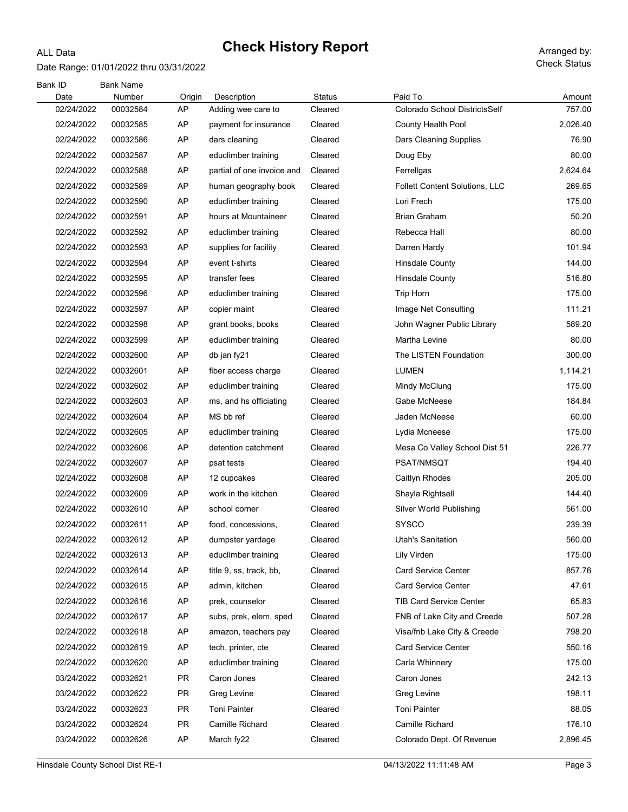### Date Range: 01/01/2022 thru 03/31/2022

ALL Data

| Bank ID    | <b>Bank Name</b> |           |                            |         |                                |          |
|------------|------------------|-----------|----------------------------|---------|--------------------------------|----------|
| Date       | Number           | Origin    | Description                | Status  | Paid To                        | Amount   |
| 02/24/2022 | 00032584         | AP        | Adding wee care to         | Cleared | Colorado School DistrictsSelf  | 757.00   |
| 02/24/2022 | 00032585         | AP        | payment for insurance      | Cleared | County Health Pool             | 2,026.40 |
| 02/24/2022 | 00032586         | AP        | dars cleaning              | Cleared | Dars Cleaning Supplies         | 76.90    |
| 02/24/2022 | 00032587         | AP        | educlimber training        | Cleared | Doug Eby                       | 80.00    |
| 02/24/2022 | 00032588         | AP        | partial of one invoice and | Cleared | Ferrellgas                     | 2,624.64 |
| 02/24/2022 | 00032589         | AP        | human geography book       | Cleared | Follett Content Solutions, LLC | 269.65   |
| 02/24/2022 | 00032590         | AP        | educlimber training        | Cleared | Lori Frech                     | 175.00   |
| 02/24/2022 | 00032591         | AP        | hours at Mountaineer       | Cleared | <b>Brian Graham</b>            | 50.20    |
| 02/24/2022 | 00032592         | AP        | educlimber training        | Cleared | Rebecca Hall                   | 80.00    |
| 02/24/2022 | 00032593         | AP        | supplies for facility      | Cleared | Darren Hardy                   | 101.94   |
| 02/24/2022 | 00032594         | AP        | event t-shirts             | Cleared | <b>Hinsdale County</b>         | 144.00   |
| 02/24/2022 | 00032595         | AP        | transfer fees              | Cleared | <b>Hinsdale County</b>         | 516.80   |
| 02/24/2022 | 00032596         | AP        | educlimber training        | Cleared | <b>Trip Horn</b>               | 175.00   |
| 02/24/2022 | 00032597         | AP        | copier maint               | Cleared | Image Net Consulting           | 111.21   |
| 02/24/2022 | 00032598         | AP        | grant books, books         | Cleared | John Wagner Public Library     | 589.20   |
| 02/24/2022 | 00032599         | AP        | educlimber training        | Cleared | Martha Levine                  | 80.00    |
| 02/24/2022 | 00032600         | AP        | db jan fy21                | Cleared | The LISTEN Foundation          | 300.00   |
| 02/24/2022 | 00032601         | AP        | fiber access charge        | Cleared | <b>LUMEN</b>                   | 1,114.21 |
| 02/24/2022 | 00032602         | AP        | educlimber training        | Cleared | Mindy McClung                  | 175.00   |
| 02/24/2022 | 00032603         | AP        | ms, and hs officiating     | Cleared | Gabe McNeese                   | 184.84   |
| 02/24/2022 | 00032604         | AP        | MS bb ref                  | Cleared | Jaden McNeese                  | 60.00    |
| 02/24/2022 | 00032605         | AP        | educlimber training        | Cleared | Lydia Mcneese                  | 175.00   |
| 02/24/2022 | 00032606         | AP        | detention catchment        | Cleared | Mesa Co Valley School Dist 51  | 226.77   |
| 02/24/2022 | 00032607         | AP        | psat tests                 | Cleared | PSAT/NMSQT                     | 194.40   |
| 02/24/2022 | 00032608         | AP        | 12 cupcakes                | Cleared | Caitlyn Rhodes                 | 205.00   |
| 02/24/2022 | 00032609         | AP        | work in the kitchen        | Cleared | Shayla Rightsell               | 144.40   |
| 02/24/2022 | 00032610         | AP        | school corner              | Cleared | Silver World Publishing        | 561.00   |
| 02/24/2022 | 00032611         | AP        | food, concessions,         | Cleared | SYSCO                          | 239.39   |
| 02/24/2022 | 00032612         | AP        | dumpster yardage           | Cleared | <b>Utah's Sanitation</b>       | 560.00   |
| 02/24/2022 | 00032613         | AP        | educlimber training        | Cleared | Lily Virden                    | 175.00   |
| 02/24/2022 | 00032614         | AP        | title 9, ss, track, bb,    | Cleared | <b>Card Service Center</b>     | 857.76   |
| 02/24/2022 | 00032615         | AP        | admin, kitchen             | Cleared | <b>Card Service Center</b>     | 47.61    |
| 02/24/2022 | 00032616         | AP        | prek, counselor            | Cleared | <b>TIB Card Service Center</b> | 65.83    |
| 02/24/2022 | 00032617         | AP        | subs, prek, elem, sped     | Cleared | FNB of Lake City and Creede    | 507.28   |
| 02/24/2022 | 00032618         | AP        | amazon, teachers pay       | Cleared | Visa/fnb Lake City & Creede    | 798.20   |
| 02/24/2022 | 00032619         | AP        | tech, printer, cte         | Cleared | <b>Card Service Center</b>     | 550.16   |
| 02/24/2022 | 00032620         | AP        | educlimber training        | Cleared | Carla Whinnery                 | 175.00   |
| 03/24/2022 | 00032621         | <b>PR</b> | Caron Jones                | Cleared | Caron Jones                    | 242.13   |
|            |                  |           |                            |         |                                | 198.11   |
| 03/24/2022 | 00032622         | <b>PR</b> | Greg Levine                | Cleared | Greg Levine                    |          |
| 03/24/2022 | 00032623         | <b>PR</b> | Toni Painter               | Cleared | <b>Toni Painter</b>            | 88.05    |
| 03/24/2022 | 00032624         | <b>PR</b> | Camille Richard            | Cleared | Camille Richard                | 176.10   |
| 03/24/2022 | 00032626         | AP        | March fy22                 | Cleared | Colorado Dept. Of Revenue      | 2,896.45 |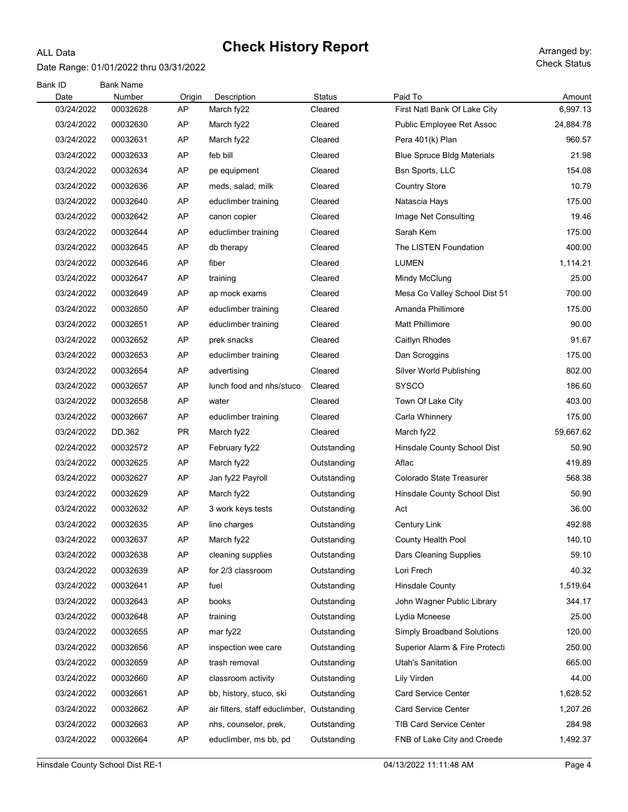### Date Range: 01/01/2022 thru 03/31/2022

ALL Data

| Bank ID<br>Date | <b>Bank Name</b><br>Number | Origin    | Description                    | Status      | Paid To                           | Amount    |
|-----------------|----------------------------|-----------|--------------------------------|-------------|-----------------------------------|-----------|
| 03/24/2022      | 00032628                   | AP        | March fy22                     | Cleared     | First Natl Bank Of Lake City      | 6,997.13  |
| 03/24/2022      | 00032630                   | AP        | March fy22                     | Cleared     | Public Employee Ret Assoc         | 24,884.78 |
| 03/24/2022      | 00032631                   | AP        | March fy22                     | Cleared     | Pera 401(k) Plan                  | 960.57    |
| 03/24/2022      | 00032633                   | AP        | feb bill                       | Cleared     | <b>Blue Spruce Bldg Materials</b> | 21.98     |
| 03/24/2022      | 00032634                   | AP        | pe equipment                   | Cleared     | Bsn Sports, LLC                   | 154.08    |
| 03/24/2022      | 00032636                   | AP        | meds, salad, milk              | Cleared     | <b>Country Store</b>              | 10.79     |
| 03/24/2022      | 00032640                   | AP        | educlimber training            | Cleared     | Natascia Hays                     | 175.00    |
| 03/24/2022      | 00032642                   | AP        | canon copier                   | Cleared     | Image Net Consulting              | 19.46     |
| 03/24/2022      | 00032644                   | AP        | educlimber training            | Cleared     | Sarah Kem                         | 175.00    |
| 03/24/2022      | 00032645                   | AP        | db therapy                     | Cleared     | The LISTEN Foundation             | 400.00    |
| 03/24/2022      | 00032646                   | AP        | fiber                          | Cleared     | <b>LUMEN</b>                      | 1,114.21  |
| 03/24/2022      | 00032647                   | AP        | training                       | Cleared     | Mindy McClung                     | 25.00     |
| 03/24/2022      | 00032649                   | AP        | ap mock exams                  | Cleared     | Mesa Co Valley School Dist 51     | 700.00    |
| 03/24/2022      | 00032650                   | AP        | educlimber training            | Cleared     | Amanda Phillimore                 | 175.00    |
| 03/24/2022      | 00032651                   | AP        | educlimber training            | Cleared     | <b>Matt Phillimore</b>            | 90.00     |
| 03/24/2022      | 00032652                   | AP        | prek snacks                    | Cleared     | Caitlyn Rhodes                    | 91.67     |
| 03/24/2022      | 00032653                   | AP        | educlimber training            | Cleared     | Dan Scroggins                     | 175.00    |
| 03/24/2022      | 00032654                   | AP        | advertising                    | Cleared     | Silver World Publishing           | 802.00    |
| 03/24/2022      | 00032657                   | AP        | lunch food and nhs/stuco       | Cleared     | <b>SYSCO</b>                      | 186.60    |
| 03/24/2022      | 00032658                   | AP        | water                          | Cleared     | Town Of Lake City                 | 403.00    |
| 03/24/2022      | 00032667                   | AP        | educlimber training            | Cleared     | Carla Whinnery                    | 175.00    |
| 03/24/2022      | DD.362                     | PR        | March fy22                     | Cleared     | March fy22                        | 59,667.62 |
| 02/24/2022      | 00032572                   | AP        | February fy22                  | Outstanding | Hinsdale County School Dist       | 50.90     |
| 03/24/2022      | 00032625                   | AP        | March fy22                     | Outstanding | Aflac                             | 419.89    |
| 03/24/2022      | 00032627                   | AP        | Jan fy22 Payroll               | Outstanding | Colorado State Treasurer          | 568.38    |
| 03/24/2022      | 00032629                   | AP        | March fy22                     | Outstanding | Hinsdale County School Dist       | 50.90     |
| 03/24/2022      | 00032632                   | AP        | 3 work keys tests              | Outstanding | Act                               | 36.00     |
| 03/24/2022      | 00032635                   | AP        | line charges                   | Outstanding | Century Link                      | 492.88    |
| 03/24/2022      | 00032637                   | <b>AP</b> | March fy22                     | Outstanding | County Health Pool                | 140.10    |
| 03/24/2022      | 00032638                   | AP        | cleaning supplies              | Outstanding | Dars Cleaning Supplies            | 59.10     |
| 03/24/2022      | 00032639                   | AP        | for 2/3 classroom              | Outstanding | Lori Frech                        | 40.32     |
| 03/24/2022      | 00032641                   | AP        | fuel                           | Outstanding | <b>Hinsdale County</b>            | 1,519.64  |
| 03/24/2022      | 00032643                   | AP        | books                          | Outstanding | John Wagner Public Library        | 344.17    |
| 03/24/2022      | 00032648                   | AP        | training                       | Outstanding | Lydia Mcneese                     | 25.00     |
| 03/24/2022      | 00032655                   | AP        | mar fy22                       | Outstanding | <b>Simply Broadband Solutions</b> | 120.00    |
| 03/24/2022      | 00032656                   | AP        | inspection wee care            | Outstanding | Superior Alarm & Fire Protecti    | 250.00    |
| 03/24/2022      | 00032659                   | AP        | trash removal                  | Outstanding | Utah's Sanitation                 | 665.00    |
| 03/24/2022      | 00032660                   | AP        | classroom activity             | Outstanding | Lily Virden                       | 44.00     |
| 03/24/2022      | 00032661                   | AP        | bb, history, stuco, ski        | Outstanding | <b>Card Service Center</b>        | 1,628.52  |
| 03/24/2022      | 00032662                   | AP        | air filters, staff educlimber, | Outstanding | <b>Card Service Center</b>        | 1,207.26  |
| 03/24/2022      | 00032663                   | AP        | nhs, counselor, prek,          | Outstanding | TIB Card Service Center           | 284.98    |
| 03/24/2022      | 00032664                   | AP        | educlimber, ms bb, pd          | Outstanding | FNB of Lake City and Creede       | 1,492.37  |